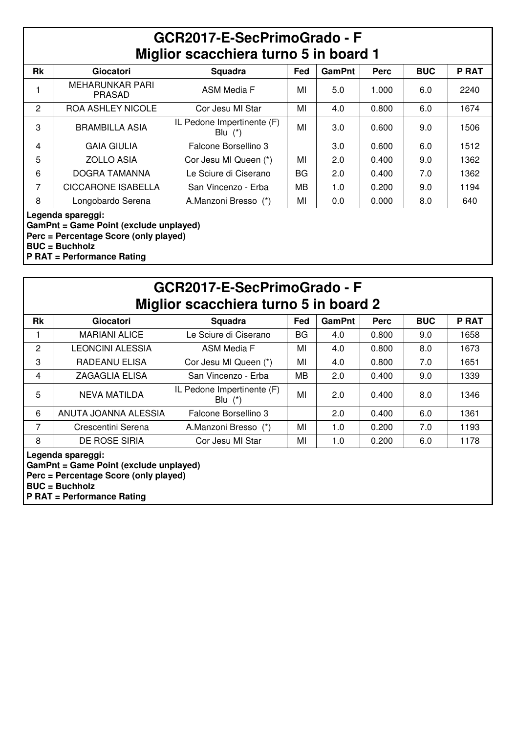| GCR2017-E-SecPrimoGrado - F           |  |  |  |  |  |  |
|---------------------------------------|--|--|--|--|--|--|
| Miglior scacchiera turno 5 in board 1 |  |  |  |  |  |  |

| <b>Rk</b>      | <b>Giocatori</b>                                            | Squadra                                 | Fed       | <b>GamPnt</b> | <b>Perc</b> | <b>BUC</b> | <b>P RAT</b> |  |  |
|----------------|-------------------------------------------------------------|-----------------------------------------|-----------|---------------|-------------|------------|--------------|--|--|
|                | <b>MEHARUNKAR PARI</b><br><b>PRASAD</b>                     | <b>ASM Media F</b>                      | MI        | 5.0           | 1.000       | 6.0        | 2240         |  |  |
| $\overline{2}$ | <b>ROA ASHLEY NICOLE</b>                                    | Cor Jesu MI Star                        | MI        | 4.0           | 0.800       | 6.0        | 1674         |  |  |
| 3              | <b>BRAMBILLA ASIA</b>                                       | IL Pedone Impertinente (F)<br>Blu $(*)$ | MI        | 3.0           | 0.600       | 9.0        | 1506         |  |  |
| 4              | <b>GAIA GIULIA</b>                                          | Falcone Borsellino 3                    |           | 3.0           | 0.600       | 6.0        | 1512         |  |  |
| 5              | <b>ZOLLO ASIA</b>                                           | Cor Jesu MI Queen (*)                   | МІ        | 2.0           | 0.400       | 9.0        | 1362         |  |  |
| 6              | DOGRA TAMANNA                                               | Le Sciure di Ciserano                   | <b>BG</b> | 2.0           | 0.400       | 7.0        | 1362         |  |  |
| 7              | <b>CICCARONE ISABELLA</b>                                   | San Vincenzo - Erba                     | MВ        | 1.0           | 0.200       | 9.0        | 1194         |  |  |
| 8              | Longobardo Serena                                           | A.Manzoni Bresso (*)                    | MI        | 0.0           | 0.000       | 8.0        | 640          |  |  |
|                | Legenda spareggi:<br>GamPnt = Game Point (exclude unplayed) |                                         |           |               |             |            |              |  |  |

**Perc = Percentage Score (only played)**

**BUC = Buchholz**

**P RAT = Performance Rating**

| GCR2017-E-SecPrimoGrado - F<br>Miglior scacchiera turno 5 in board 2 |                                                                                                                               |                                         |     |               |       |            |              |  |  |
|----------------------------------------------------------------------|-------------------------------------------------------------------------------------------------------------------------------|-----------------------------------------|-----|---------------|-------|------------|--------------|--|--|
| <b>Rk</b>                                                            | <b>Giocatori</b>                                                                                                              | Squadra                                 | Fed | <b>GamPnt</b> | Perc  | <b>BUC</b> | <b>P RAT</b> |  |  |
| 1                                                                    | <b>MARIANI ALICE</b>                                                                                                          | Le Sciure di Ciserano                   | BG  | 4.0           | 0.800 | 9.0        | 1658         |  |  |
| 2                                                                    | LEONCINI ALESSIA                                                                                                              | <b>ASM Media F</b>                      | MI  | 4.0           | 0.800 | 8.0        | 1673         |  |  |
| 3                                                                    | RADEANU ELISA                                                                                                                 | Cor Jesu MI Queen (*)                   | ΜI  | 4.0           | 0.800 | 7.0        | 1651         |  |  |
| 4                                                                    | <b>ZAGAGLIA ELISA</b>                                                                                                         | San Vincenzo - Erba                     | MВ  | 2.0           | 0.400 | 9.0        | 1339         |  |  |
| 5                                                                    | <b>NEVA MATILDA</b>                                                                                                           | IL Pedone Impertinente (F)<br>Blu $(*)$ | ΜI  | 2.0           | 0.400 | 8.0        | 1346         |  |  |
| 6                                                                    | ANUTA JOANNA ALESSIA                                                                                                          | Falcone Borsellino 3                    |     | 2.0           | 0.400 | 6.0        | 1361         |  |  |
| 7                                                                    | Crescentini Serena                                                                                                            | A.Manzoni Bresso (*)                    | MI  | 1.0           | 0.200 | 7.0        | 1193         |  |  |
| 8                                                                    | DE ROSE SIRIA                                                                                                                 | Cor Jesu MI Star                        | MI  | 1.0           | 0.200 | 6.0        | 1178         |  |  |
|                                                                      | Legenda spareggi:<br>GamPnt = Game Point (exclude unplayed)<br>Perc = Percentage Score (only played)<br><b>BUC = Buchholz</b> |                                         |     |               |       |            |              |  |  |

**P RAT = Performance Rating**